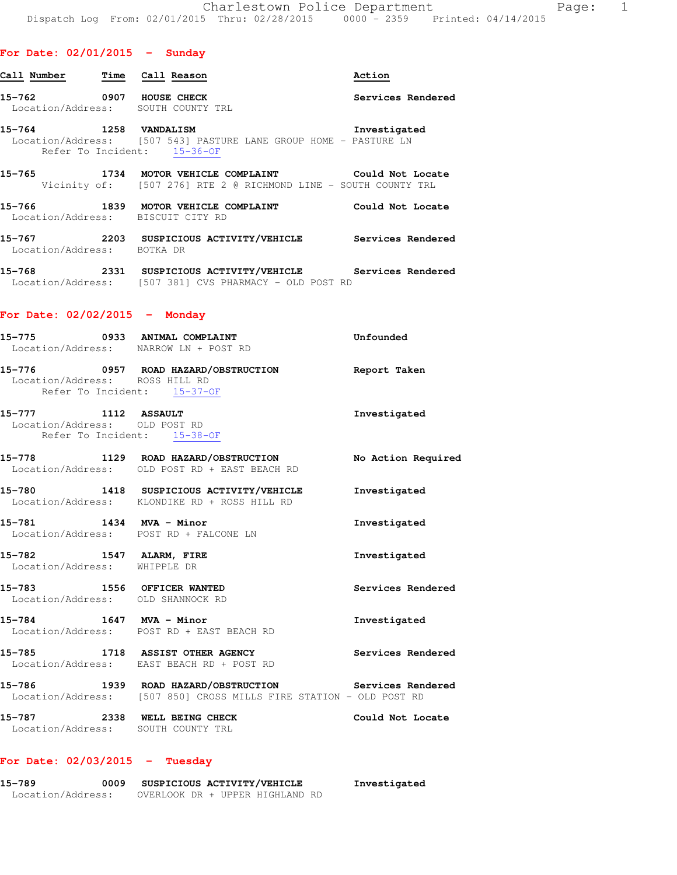| Call Number Time Call Reason |                                                                                                                     | Action            |
|------------------------------|---------------------------------------------------------------------------------------------------------------------|-------------------|
| 15-762 0907 HOUSE CHECK      | Location/Address: SOUTH COUNTY TRL                                                                                  | Services Rendered |
| 15-764 1258 VANDALISM        | Location/Address: [507 543] PASTURE LANE GROUP HOME - PASTURE LN<br>Refer To Incident: 15-36-OF                     | Investigated      |
|                              | Vicinity of: [507 276] RTE 2 @ RICHMOND LINE - SOUTH COUNTY TRL                                                     |                   |
|                              | 15-766 1839 MOTOR VEHICLE COMPLAINT<br>Location/Address: BISCUIT CITY RD                                            | Could Not Locate  |
| Location/Address:            | BOTKA DR                                                                                                            |                   |
|                              | 15-768 2331 SUSPICIOUS ACTIVITY/VEHICLE Services Rendered<br>Location/Address: [507 381] CVS PHARMACY - OLD POST RD |                   |

# **For Date: 02/02/2015 - Monday**

| Unfounded                                                                                                                                                                                                                                                                                                                                                                                                                                                                                                                                                                                                                                                                                                                                                                                                                                                                                                                                                                                                                               |
|-----------------------------------------------------------------------------------------------------------------------------------------------------------------------------------------------------------------------------------------------------------------------------------------------------------------------------------------------------------------------------------------------------------------------------------------------------------------------------------------------------------------------------------------------------------------------------------------------------------------------------------------------------------------------------------------------------------------------------------------------------------------------------------------------------------------------------------------------------------------------------------------------------------------------------------------------------------------------------------------------------------------------------------------|
|                                                                                                                                                                                                                                                                                                                                                                                                                                                                                                                                                                                                                                                                                                                                                                                                                                                                                                                                                                                                                                         |
| Investigated                                                                                                                                                                                                                                                                                                                                                                                                                                                                                                                                                                                                                                                                                                                                                                                                                                                                                                                                                                                                                            |
| No Action Required                                                                                                                                                                                                                                                                                                                                                                                                                                                                                                                                                                                                                                                                                                                                                                                                                                                                                                                                                                                                                      |
| Investigated                                                                                                                                                                                                                                                                                                                                                                                                                                                                                                                                                                                                                                                                                                                                                                                                                                                                                                                                                                                                                            |
| Investigated                                                                                                                                                                                                                                                                                                                                                                                                                                                                                                                                                                                                                                                                                                                                                                                                                                                                                                                                                                                                                            |
| Investigated                                                                                                                                                                                                                                                                                                                                                                                                                                                                                                                                                                                                                                                                                                                                                                                                                                                                                                                                                                                                                            |
| Services Rendered                                                                                                                                                                                                                                                                                                                                                                                                                                                                                                                                                                                                                                                                                                                                                                                                                                                                                                                                                                                                                       |
| Investigated                                                                                                                                                                                                                                                                                                                                                                                                                                                                                                                                                                                                                                                                                                                                                                                                                                                                                                                                                                                                                            |
| Services Rendered                                                                                                                                                                                                                                                                                                                                                                                                                                                                                                                                                                                                                                                                                                                                                                                                                                                                                                                                                                                                                       |
|                                                                                                                                                                                                                                                                                                                                                                                                                                                                                                                                                                                                                                                                                                                                                                                                                                                                                                                                                                                                                                         |
| Could Not Locate                                                                                                                                                                                                                                                                                                                                                                                                                                                                                                                                                                                                                                                                                                                                                                                                                                                                                                                                                                                                                        |
| 15-775 0933 ANIMAL COMPLAINT<br>Location/Address: NARROW LN + POST RD<br>15-776 		 0957 ROAD HAZARD/OBSTRUCTION Report Taken<br>Location/Address: ROSS HILL RD<br>Refer To Incident: 15-37-OF<br>15-777 1112 ASSAULT<br>Location/Address: OLD POST RD<br>Refer To Incident: 15-38-OF<br>15-778 1129 ROAD HAZARD/OBSTRUCTION<br>Location/Address: OLD POST RD + EAST BEACH RD<br>15-780 1418 SUSPICIOUS ACTIVITY/VEHICLE<br>Location/Address: KLONDIKE RD + ROSS HILL RD<br>15-781 1434 MVA - Minor<br>Location/Address: POST RD + FALCONE LN<br>15-782 1547 ALARM, FIRE<br>Location/Address: WHIPPLE DR<br>15-783 1556 OFFICER WANTED<br>Location/Address: OLD SHANNOCK RD<br>15-784 1647 MVA - Minor<br>Location/Address: POST RD + EAST BEACH RD<br>15-785 1718 ASSIST OTHER AGENCY<br>Location/Address: EAST BEACH RD + POST RD<br>15-786 1939 ROAD HAZARD/OBSTRUCTION Services Rendered<br>Location/Address: [507 850] CROSS MILLS FIRE STATION - OLD POST RD<br>15-787 2338 WELL BEING CHECK<br>Location/Address: SOUTH COUNTY TRL |

# **For Date: 02/03/2015 - Tuesday**

| 15-789            | 0009 |                                 |  | SUSPICIOUS ACTIVITY/VEHICLE | Investigated |
|-------------------|------|---------------------------------|--|-----------------------------|--------------|
| Location/Address: |      | OVERLOOK DR + UPPER HIGHLAND RD |  |                             |              |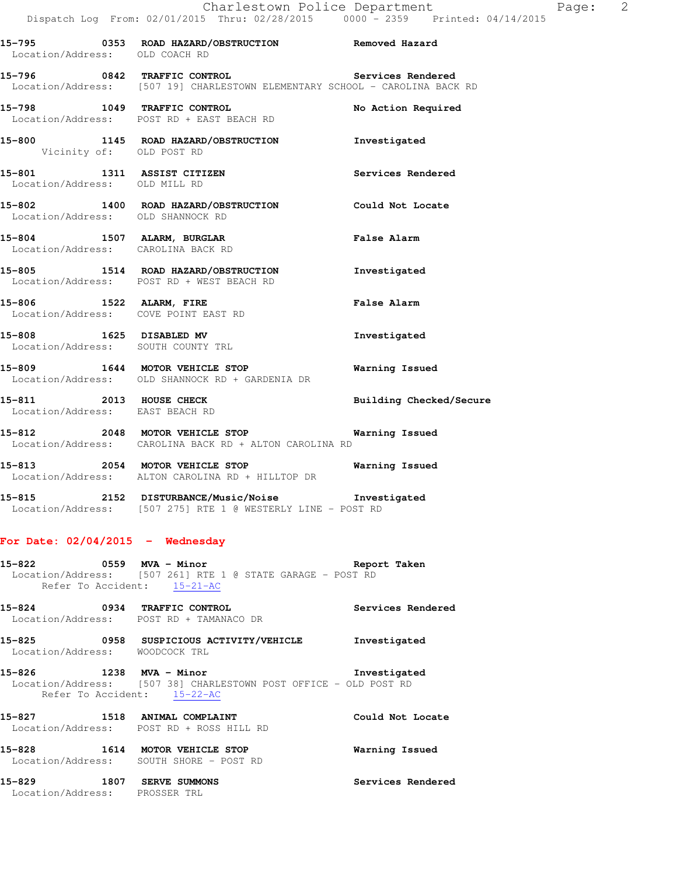| Location/Address: OLD COACH RD                                | 15-795 0353 ROAD HAZARD/OBSTRUCTION Removed Hazard                                                                           |                         |
|---------------------------------------------------------------|------------------------------------------------------------------------------------------------------------------------------|-------------------------|
|                                                               | 15-796 0842 TRAFFIC CONTROL Services Rendered<br>Location/Address: [507 19] CHARLESTOWN ELEMENTARY SCHOOL - CAROLINA BACK RD |                         |
|                                                               | 15-798 1049 TRAFFIC CONTROL<br>Location/Address: POST RD + EAST BEACH RD                                                     | No Action Required      |
| Vicinity of: OLD POST RD                                      | 15-800 1145 ROAD HAZARD/OBSTRUCTION Thvestigated                                                                             |                         |
| Location/Address: OLD MILL RD                                 | 15-801 1311 ASSIST CITIZEN                                                                                                   | Services Rendered       |
| Location/Address: OLD SHANNOCK RD                             | 15-802 1400 ROAD HAZARD/OBSTRUCTION Could Not Locate                                                                         |                         |
| Location/Address: CAROLINA BACK RD                            | 15-804 1507 ALARM, BURGLAR                                                                                                   | <b>False Alarm</b>      |
|                                                               | 15-805 1514 ROAD HAZARD/OBSTRUCTION Investigated<br>Location/Address: POST RD + WEST BEACH RD                                |                         |
| 15-806 1522 ALARM, FIRE                                       | Location/Address: COVE POINT EAST RD                                                                                         | <b>False Alarm</b>      |
| 15-808 1625 DISABLED MV<br>Location/Address: SOUTH COUNTY TRL |                                                                                                                              | Investigated            |
|                                                               | 15-809 1644 MOTOR VEHICLE STOP<br>Location/Address: OLD SHANNOCK RD + GARDENIA DR                                            | <b>Warning Issued</b>   |
| 15-811 2013 HOUSE CHECK<br>Location/Address: EAST BEACH RD    |                                                                                                                              | Building Checked/Secure |
|                                                               | 15-812 2048 MOTOR VEHICLE STOP <b>Warning Issued</b><br>Location/Address: CAROLINA BACK RD + ALTON CAROLINA RD               |                         |
|                                                               | 15-813 2054 MOTOR VEHICLE STOP 6 Warning Issued<br>Location/Address: ALTON CAROLINA RD + HILLTOP DR                          |                         |

**15-815 2152 DISTURBANCE/Music/Noise Investigated**  Location/Address: [507 275] RTE 1 @ WESTERLY LINE - POST RD

## **For Date: 02/04/2015 - Wednesday**

**15-822 0559 MVA - Minor Report Taken**  Location/Address: [507 261] RTE 1 @ STATE GARAGE - POST RD Refer To Accident: 15-21-AC

**15-824 0934 TRAFFIC CONTROL Services Rendered**  Location/Address: POST RD + TAMANACO DR

**15-825 0958 SUSPICIOUS ACTIVITY/VEHICLE Investigated**  Location/Address: WOODCOCK TRL

**15-826 1238 MVA - Minor Investigated**  Location/Address: [507 38] CHARLESTOWN POST OFFICE - OLD POST RD Refer To Accident: 15-22-AC

**15-827 1518 ANIMAL COMPLAINT Could Not Locate**  Location/Address: POST RD + ROSS HILL RD

**15-828 1614 MOTOR VEHICLE STOP Warning Issued**  Location/Address: SOUTH SHORE - POST RD

**15-829 1807 SERVE SUMMONS Services Rendered**  Location/Address: PROSSER TRL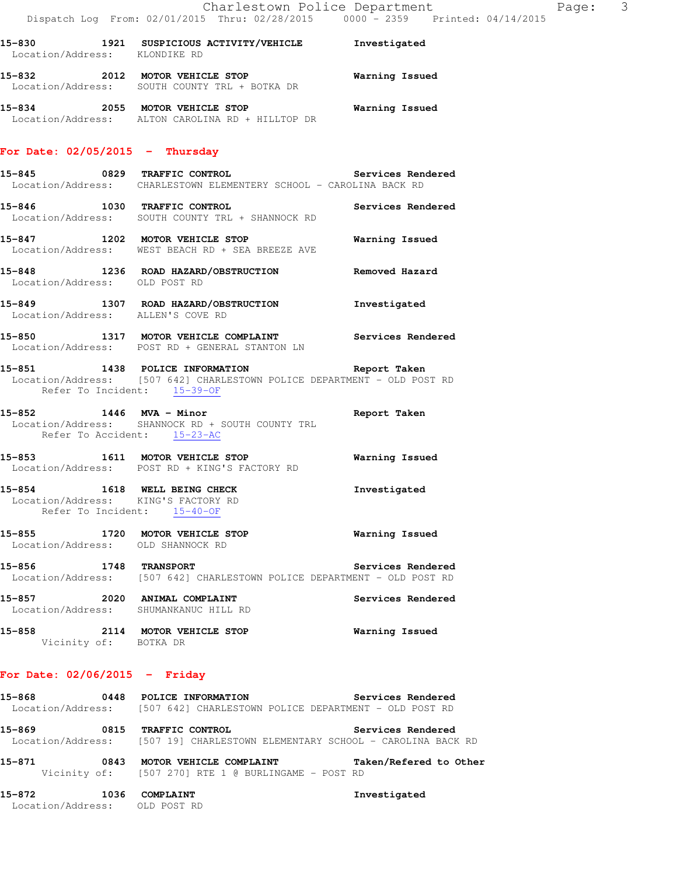| 15-830            | 1921 | SUSPICIOUS ACTIVITY/VEHICLE | Investigated   |
|-------------------|------|-----------------------------|----------------|
| Location/Address: |      | KLONDIKE RD                 |                |
| 15–832            | 2012 | MOTOR VEHICLE STOP          | Warning Issued |
| Location/Address: |      | SOUTH COUNTY TRL + BOTKA DR |                |

**15-834 2055 MOTOR VEHICLE STOP Warning Issued**  Location/Address: ALTON CAROLINA RD + HILLTOP DR

#### **For Date: 02/05/2015 - Thursday**

- **15-845 0829 TRAFFIC CONTROL Services Rendered**  Location/Address: CHARLESTOWN ELEMENTERY SCHOOL - CAROLINA BACK RD
- **15-846 1030 TRAFFIC CONTROL Services Rendered**  Location/Address: SOUTH COUNTY TRL + SHANNOCK RD
- **15-847 1202 MOTOR VEHICLE STOP Warning Issued**  Location/Address: WEST BEACH RD + SEA BREEZE AVE
- **15-848 1236 ROAD HAZARD/OBSTRUCTION Removed Hazard**  Location/Address: OLD POST RD
- **15-849 1307 ROAD HAZARD/OBSTRUCTION Investigated**  Location/Address: ALLEN'S COVE RD
- **15-850 1317 MOTOR VEHICLE COMPLAINT Services Rendered**  Location/Address: POST RD + GENERAL STANTON LN
- **15-851 1438 POLICE INFORMATION Report Taken**  Location/Address: [507 642] CHARLESTOWN POLICE DEPARTMENT - OLD POST RD Refer To Incident: 15-39-OF
- **15-852 1446 MVA Minor Report Taken**  Location/Address: SHANNOCK RD + SOUTH COUNTY TRL Refer To Accident: 15-23-AC
- **15-853 1611 MOTOR VEHICLE STOP Warning Issued**  Location/Address: POST RD + KING'S FACTORY RD
- **15-854 1618 WELL BEING CHECK Investigated**  Location/Address: KING'S FACTORY RD Refer To Incident: 15-40-OF
- **15-855 1720 MOTOR VEHICLE STOP Warning Issued**  Location/Address: OLD SHANNOCK RD
- **15-856 1748 TRANSPORT Services Rendered**  Location/Address: [507 642] CHARLESTOWN POLICE DEPARTMENT - OLD POST RD
- **15-857 2020 ANIMAL COMPLAINT Services Rendered**  Location/Address: SHUMANKANUC HILL RD
- **15-858 2114 MOTOR VEHICLE STOP Warning Issued**  Vicinity of: BOTKA DR

# **For Date: 02/06/2015 - Friday**

- **15-868 0448 POLICE INFORMATION Services Rendered**  Location/Address: [507 642] CHARLESTOWN POLICE DEPARTMENT - OLD POST RD **15-869 0815 TRAFFIC CONTROL Services Rendered**  Location/Address: [507 19] CHARLESTOWN ELEMENTARY SCHOOL - CAROLINA BACK RD **15-871 0843 MOTOR VEHICLE COMPLAINT Taken/Refered to Other**  Vicinity of: [507 270] RTE 1 @ BURLINGAME - POST RD **15-872 1036 COMPLAINT Investigated**
- Location/Address: OLD POST RD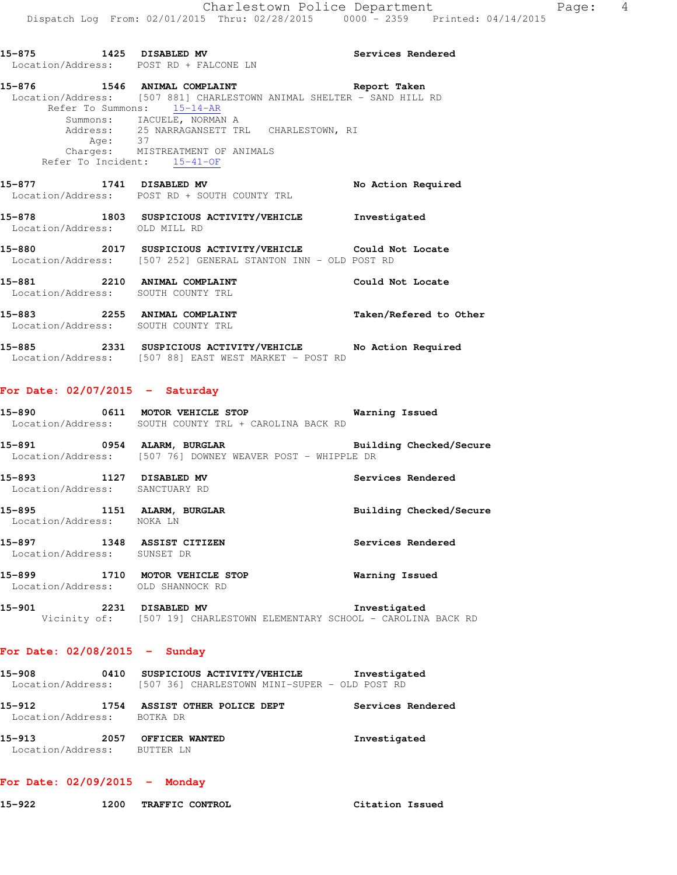**15-875 1425 DISABLED MV Services Rendered**  Location/Address: POST RD + FALCONE LN **15-876 1546 ANIMAL COMPLAINT Report Taken**  Location/Address: [507 881] CHARLESTOWN ANIMAL SHELTER - SAND HILL RD Refer To Summons: 15-14-AR Summons: IACUELE, NORMAN A Address: 25 NARRAGANSETT TRL CHARLESTOWN, RI Age: 37 Charges: MISTREATMENT OF ANIMALS Refer To Incident: 15-41-OF **15-877 1741 DISABLED MV No Action Required**  Location/Address: POST RD + SOUTH COUNTY TRL **15-878 1803 SUSPICIOUS ACTIVITY/VEHICLE Investigated**  Location/Address: OLD MILL RD **15-880 2017 SUSPICIOUS ACTIVITY/VEHICLE Could Not Locate**  Location/Address: [507 252] GENERAL STANTON INN - OLD POST RD **15-881 2210 ANIMAL COMPLAINT Could Not Locate**  Location/Address: SOUTH COUNTY TRL **15-883 2255 ANIMAL COMPLAINT Taken/Refered to Other**  Location/Address: SOUTH COUNTY TRL **15-885 2331 SUSPICIOUS ACTIVITY/VEHICLE No Action Required** 

# **For Date: 02/07/2015 - Saturday**

| 15-890            |  | 0611 MOTOR VEHICLE STOP |  |                                     |  | Warning Issued |  |
|-------------------|--|-------------------------|--|-------------------------------------|--|----------------|--|
| Location/Address: |  |                         |  | SOUTH COUNTY TRL + CAROLINA BACK RD |  |                |  |

Location/Address: [507 88] EAST WEST MARKET - POST RD

**15-891 0954 ALARM, BURGLAR Building Checked/Secure**  Location/Address: [507 76] DOWNEY WEAVER POST - WHIPPLE DR

**15-893 1127 DISABLED MV Services Rendered**  Location/Address: SANCTUARY RD

**15-895 1151 ALARM, BURGLAR Building Checked/Secure**  Location/Address: NOKA LN

**15-897 1348 ASSIST CITIZEN Services Rendered**  Location/Address: SUNSET DR

**15-899 1710 MOTOR VEHICLE STOP Warning Issued**  Location/Address: OLD SHANNOCK RD

**15-901 2231 DISABLED MV Investigated**  Vicinity of: [507 19] CHARLESTOWN ELEMENTARY SCHOOL - CAROLINA BACK RD

# **For Date: 02/08/2015 - Sunday**

**15-908 0410 SUSPICIOUS ACTIVITY/VEHICLE Investigated**  Location/Address: [507 36] CHARLESTOWN MINI-SUPER - OLD POST RD **15-912 1754 ASSIST OTHER POLICE DEPT Services Rendered**  Location/Address: BOTKA DR **15-913 2057 OFFICER WANTED Investigated**  Location/Address: BUTTER LN

# **For Date: 02/09/2015 - Monday**

**15-922 1200 TRAFFIC CONTROL Citation Issued**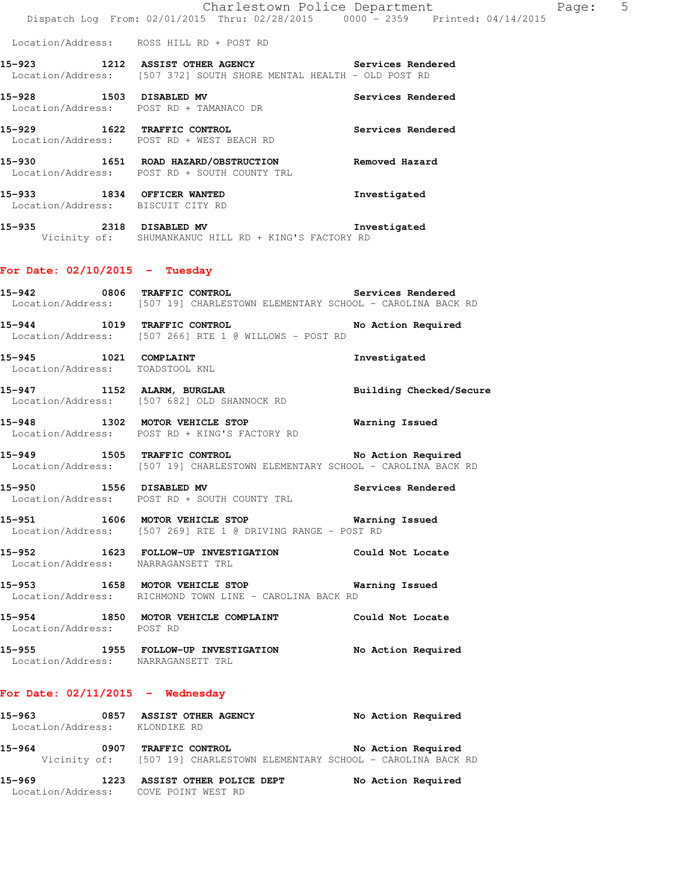**15-923 1212 ASSIST OTHER AGENCY Services Rendered**  Location/Address: [507 372] SOUTH SHORE MENTAL HEALTH - OLD POST RD

**15-928 1503 DISABLED MV Services Rendered**  Location/Address: POST RD + TAMANACO DR

**15-929 1622 TRAFFIC CONTROL Services Rendered**  Location/Address: POST RD + WEST BEACH RD

**15-930 1651 ROAD HAZARD/OBSTRUCTION Removed Hazard**  Location/Address: POST RD + SOUTH COUNTY TRL **15-933 1834 OFFICER WANTED Investigated** 

Location/Address: BISCUIT CITY RD

**15-935 2318 DISABLED MV Investigated**  Vicinity of: SHUMANKANUC HILL RD + KING'S FACTORY RD

## **For Date: 02/10/2015 - Tuesday**

**15-942 0806 TRAFFIC CONTROL Services Rendered**  Location/Address: [507 19] CHARLESTOWN ELEMENTARY SCHOOL - CAROLINA BACK RD

**15-944 1019 TRAFFIC CONTROL No Action Required**  Location/Address: [507 266] RTE 1 @ WILLOWS - POST RD

**15-945 1021 COMPLAINT Investigated**  Location/Address: TOADSTOOL KNL

15-947 1152 ALARM, BURGLAR **Building Checked/Secure** Location/Address: [507 682] OLD SHANNOCK RD

**15-948 1302 MOTOR VEHICLE STOP Warning Issued**  Location/Address: POST RD + KING'S FACTORY RD

15-949 **1505** TRAFFIC CONTROL **15-949** No Action Required Location/Address: [507 19] CHARLESTOWN ELEMENTARY SCHOOL - CAROLINA BACK RD

**15-950 1556 DISABLED MV Services Rendered**  Location/Address: POST RD + SOUTH COUNTY TRL

**15-951 1606 MOTOR VEHICLE STOP Warning Issued**  Location/Address: [507 269] RTE 1 @ DRIVING RANGE - POST RD

**15-952 1623 FOLLOW-UP INVESTIGATION Could Not Locate**  Location/Address: NARRAGANSETT TRL

**15-953 1658 MOTOR VEHICLE STOP Warning Issued**  Location/Address: RICHMOND TOWN LINE - CAROLINA BACK RD

**15-954 1850 MOTOR VEHICLE COMPLAINT Could Not Locate**  Location/Address: POST RD

**15-955 1955 FOLLOW-UP INVESTIGATION No Action Required**  Location/Address: NARRAGANSETT TRL

#### **For Date: 02/11/2015 - Wednesday**

**15-963 0857 ASSIST OTHER AGENCY No Action Required**  Location/Address: KLONDIKE RD **15-964 0907 TRAFFIC CONTROL No Action Required**  Vicinity of: [507 19] CHARLESTOWN ELEMENTARY SCHOOL - CAROLINA BACK RD

**15-969 1223 ASSIST OTHER POLICE DEPT No Action Required**  Location/Address: COVE POINT WEST RD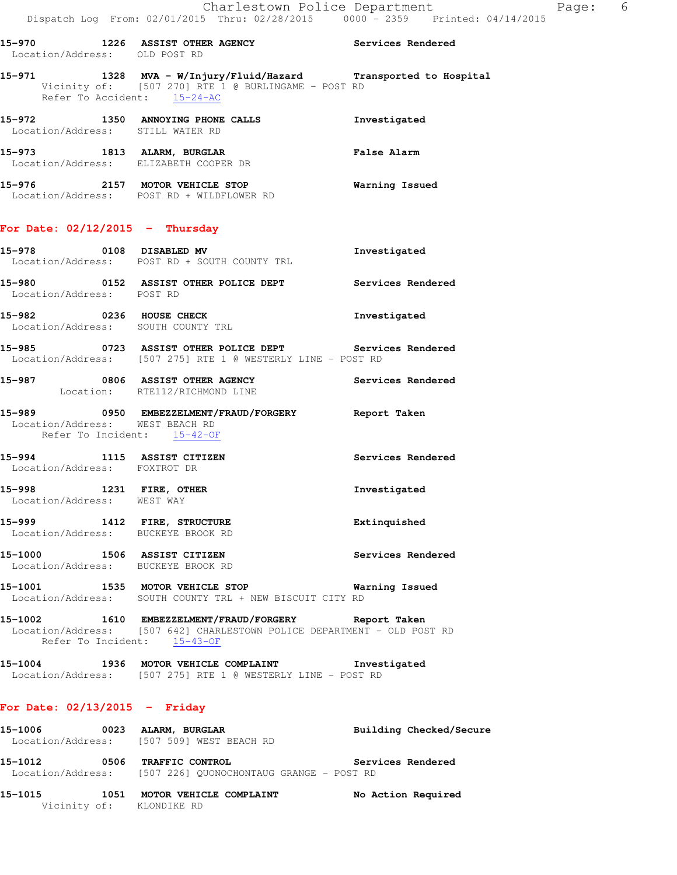Location/Address: OLD POST RD **15-971 1328 MVA - W/Injury/Fluid/Hazard Transported to Hospital**  Vicinity of: [507 270] RTE 1 @ BURLINGAME - POST RD Refer To Accident:  $15-24-AC$ 

**15-970 1226 ASSIST OTHER AGENCY Services Rendered** 

**15-972 1350 ANNOYING PHONE CALLS Investigated**  Location/Address: STILL WATER RD **15-973 1813 ALARM, BURGLAR False Alarm**  Location/Address: ELIZABETH COOPER DR

**15-976 2157 MOTOR VEHICLE STOP Warning Issued**  Location/Address: POST RD + WILDFLOWER RD

## **For Date: 02/12/2015 - Thursday**

| 15–978                              | 0108 | <b>DISABLED MV</b><br>Location/Address: POST RD + SOUTH COUNTY TRL | Investigated      |
|-------------------------------------|------|--------------------------------------------------------------------|-------------------|
| 15–980<br>Location/Address: POST RD |      | 0152 ASSIST OTHER POLICE DEPT                                      | Services Rendered |

15-982 0236 HOUSE CHECK **Investigated** Location/Address: SOUTH COUNTY TRL

**15-985 0723 ASSIST OTHER POLICE DEPT Services Rendered**  Location/Address: [507 275] RTE 1 @ WESTERLY LINE - POST RD

**15-987 0806 ASSIST OTHER AGENCY Services Rendered**  Location: RTE112/RICHMOND LINE

#### **15-989 0950 EMBEZZELMENT/FRAUD/FORGERY Report Taken**  Location/Address: WEST BEACH RD Refer To Incident: 15-42-OF

**15-994 1115 ASSIST CITIZEN Services Rendered**  Location/Address: FOXTROT DR **15-998 1231 FIRE, OTHER Investigated**  Location/Address: WEST WAY **15-999 1412 FIRE, STRUCTURE Extinquished** 

 Location/Address: BUCKEYE BROOK RD **15-1000 1506 ASSIST CITIZEN Services Rendered** 

 Location/Address: BUCKEYE BROOK RD **15-1001 1535 MOTOR VEHICLE STOP Warning Issued**  Location/Address: SOUTH COUNTY TRL + NEW BISCUIT CITY RD

**15-1002 1610 EMBEZZELMENT/FRAUD/FORGERY Report Taken**  Location/Address: [507 642] CHARLESTOWN POLICE DEPARTMENT - OLD POST RD Refer To Incident: 15-43-OF

**15-1004 1936 MOTOR VEHICLE COMPLAINT Investigated**  Location/Address: [507 275] RTE 1 @ WESTERLY LINE - POST RD

#### **For Date: 02/13/2015 - Friday**

**15-1006 0023 ALARM, BURGLAR Building Checked/Secure**  Location/Address: [507 509] WEST BEACH RD **15-1012 0506 TRAFFIC CONTROL Services Rendered**  Location/Address: [507 226] QUONOCHONTAUG GRANGE - POST RD

**15-1015 1051 MOTOR VEHICLE COMPLAINT No Action Required**  Vicinity of: KLONDIKE RD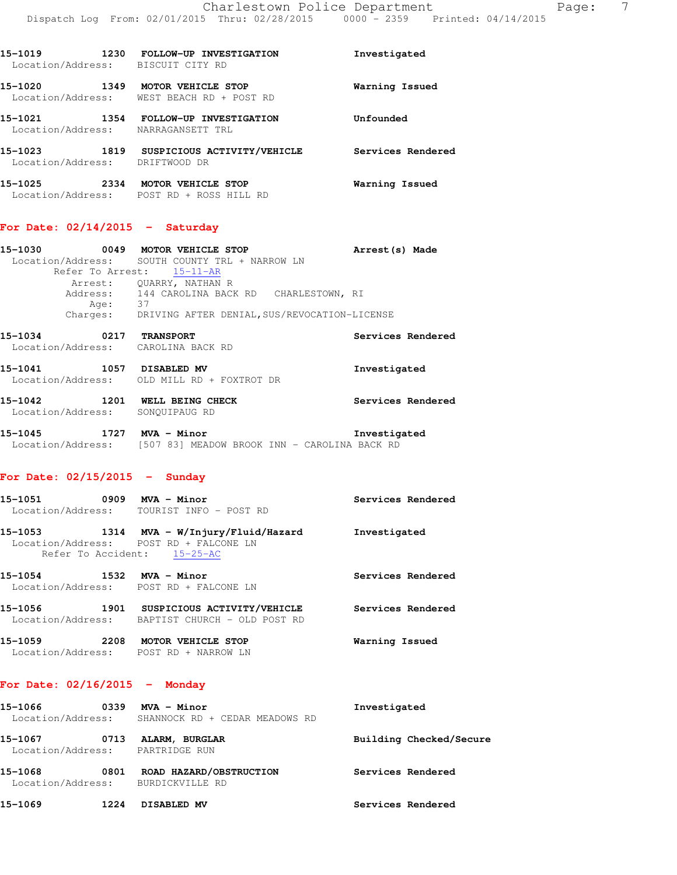| 15-1019<br>1230<br>Location/Address: | FOLLOW-UP INVESTIGATION<br>BISCUIT CITY RD    | Investigated      |
|--------------------------------------|-----------------------------------------------|-------------------|
| 15-1020<br>1349<br>Location/Address: | MOTOR VEHICLE STOP<br>WEST BEACH RD + POST RD | Warning Issued    |
| 15-1021<br>1354<br>Location/Address: | FOLLOW-UP INVESTIGATION<br>NARRAGANSETT TRL   | Unfounded         |
| 1819<br>15-1023<br>Location/Address: | SUSPICIOUS ACTIVITY/VEHICLE<br>DRIFTWOOD DR   | Services Rendered |
| 15-1025<br>2334<br>Location/Address: | MOTOR VEHICLE STOP<br>POST RD + ROSS HILL RD  | Warning Issued    |

## **For Date: 02/14/2015 - Saturday**

| 15-1030 | 0049 | MOTOR VEHICLE STOP                                    | Arrest (s) Made   |  |
|---------|------|-------------------------------------------------------|-------------------|--|
|         |      | Location/Address: SOUTH COUNTY TRL + NARROW LN        |                   |  |
|         |      | Refer To Arrest: 15-11-AR                             |                   |  |
|         |      | Arrest: OUARRY, NATHAN R                              |                   |  |
|         |      | Address: 144 CAROLINA BACK RD CHARLESTOWN, RI         |                   |  |
|         | Age: | 37                                                    |                   |  |
|         |      | Charges: DRIVING AFTER DENIAL, SUS/REVOCATION-LICENSE |                   |  |
| 15-1034 | 0217 | <b>TRANSPORT</b>                                      | Services Rendered |  |
|         |      | Location/Address: CAROLINA BACK RD                    |                   |  |
|         |      |                                                       |                   |  |

| 15-1041<br>Location/Address: | 1057 | DISABLED MV<br>OLD MILL RD + FOXTROT DR | Investigated      |
|------------------------------|------|-----------------------------------------|-------------------|
| 15-1042                      | 1201 | WELL BEING CHECK                        | Services Rendered |

- Location/Address: SONQUIPAUG RD
- **15-1045 1727 MVA Minor Investigated**  Location/Address: [507 83] MEADOW BROOK INN - CAROLINA BACK RD

## **For Date: 02/15/2015 - Sunday**

| 15-1051<br>Location/Address: | 0909 | MVA - Minor<br>TOURIST INFO - POST RD                                                                     | Services Rendered |
|------------------------------|------|-----------------------------------------------------------------------------------------------------------|-------------------|
| 15-1053                      |      | 1314 MVA - W/Injury/Fluid/Hazard<br>Location/Address: POST RD + FALCONE LN<br>Refer To Accident: 15-25-AC | Investigated      |
| 15-1054                      | 1532 | MVA - Minor<br>Location/Address: POST RD + FALCONE LN                                                     | Services Rendered |
| 15-1056<br>Location/Address: | 1901 | SUSPICIOUS ACTIVITY/VEHICLE<br>BAPTIST CHURCH - OLD POST RD                                               | Services Rendered |
| 15–1059<br>Location/Address: | 2208 | MOTOR VEHICLE STOP<br>POST RD + NARROW LN                                                                 | Warning Issued    |

#### **For Date: 02/16/2015 - Monday**

| 15-1066<br>Location/Address: | 0339 | MVA - Minor<br>SHANNOCK RD + CEDAR MEADOWS RD | Investigated            |
|------------------------------|------|-----------------------------------------------|-------------------------|
| 15-1067<br>Location/Address: | 0713 | ALARM, BURGLAR<br>PARTRIDGE RUN               | Building Checked/Secure |
| 15-1068<br>Location/Address: | 0801 | ROAD HAZARD/OBSTRUCTION<br>BURDICKVILLE RD    | Services Rendered       |
| 15-1069                      | 1224 | DISABLED MV                                   | Services Rendered       |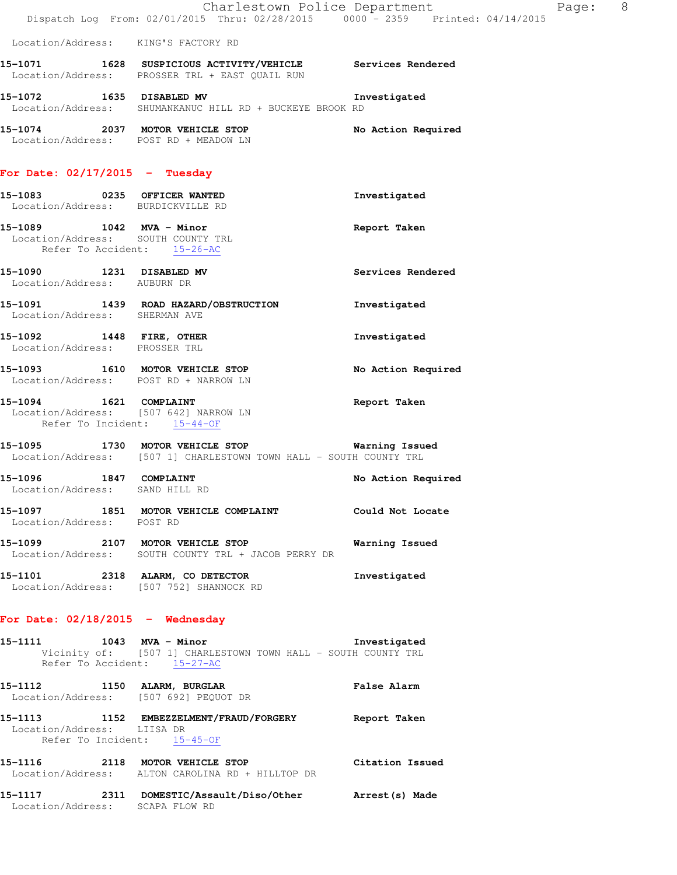|                                                                                                                              |                                                                                                                        | Charlestown Police Department<br>Page: 8 |  |
|------------------------------------------------------------------------------------------------------------------------------|------------------------------------------------------------------------------------------------------------------------|------------------------------------------|--|
|                                                                                                                              | Dispatch Log From: 02/01/2015 Thru: 02/28/2015 0000 <sup>-</sup> 2359 Printed: 04/14/2015                              |                                          |  |
| Location/Address: KING'S FACTORY RD                                                                                          |                                                                                                                        |                                          |  |
|                                                                                                                              | 15-1071 1628 SUSPICIOUS ACTIVITY/VEHICLE Services Rendered<br>Location/Address: PROSSER TRL + EAST QUAIL RUN           |                                          |  |
|                                                                                                                              | 15-1072 1635 DISABLED MV<br>Location/Address: SHUMANKANUC HILL RD + BUCKEYE BROOK RD                                   | Investigated                             |  |
| Location/Address: POST RD + MEADOW LN                                                                                        | 15-1074 2037 MOTOR VEHICLE STOP                                                                                        | No Action Required                       |  |
| For Date: $02/17/2015$ - Tuesday                                                                                             |                                                                                                                        |                                          |  |
| 15-1083 0235 OFFICER WANTED<br>Location/Address: BURDICKVILLE RD                                                             |                                                                                                                        | Investigated                             |  |
| 15-1089 1042 MVA - Minor<br>Location/Address: SOUTH COUNTY TRL<br>Refer To Accident: 15-26-AC<br>Refer To Accident: 15-26-AC |                                                                                                                        | Report Taken                             |  |
| 15-1090 1231 DISABLED MV<br>Location/Address: AUBURN DR                                                                      |                                                                                                                        | Services Rendered                        |  |
| Location/Address: SHERMAN AVE                                                                                                | 15-1091 1439 ROAD HAZARD/OBSTRUCTION                                                                                   | Investigated                             |  |
| 15-1092 1448 FIRE, OTHER<br>Location/Address: PROSSER TRL                                                                    |                                                                                                                        | Investigated                             |  |
| Location/Address: POST RD + NARROW LN                                                                                        | 15-1093 1610 MOTOR VEHICLE STOP                                                                                        | No Action Required                       |  |
| 15-1094   1621   COMPLAINT<br>Location/Address: [507 642] NARROW LN<br>Refer To Incident: 15-44-OF                           |                                                                                                                        | Report Taken                             |  |
|                                                                                                                              | 15-1095 1730 MOTOR VEHICLE STOP 6 Warning Issued<br>Location/Address: [507 1] CHARLESTOWN TOWN HALL - SOUTH COUNTY TRL |                                          |  |
| 1847 COMPLAINT<br>15-1096<br>Location/Address: SAND HILL RD                                                                  |                                                                                                                        | No Action Required                       |  |
| Location/Address: POST RD                                                                                                    | 15-1097 1851 MOTOR VEHICLE COMPLAINT Could Not Locate                                                                  |                                          |  |
|                                                                                                                              | 15-1099 2107 MOTOR VEHICLE STOP<br>Location/Address: SOUTH COUNTY TRL + JACOB PERRY DR                                 | Warning Issued                           |  |
|                                                                                                                              | 15-1101 2318 ALARM, CO DETECTOR<br>Location/Address: [507 752] SHANNOCK RD                                             | Investigated                             |  |
| For Date: $02/18/2015$ - Wednesday                                                                                           |                                                                                                                        |                                          |  |
| Refer To Accident: 15-27-AC                                                                                                  | 15-1111 1043 MVA - Minor<br>Vicinity of: [507 1] CHARLESTOWN TOWN HALL - SOUTH COUNTY TRL                              | Investigated                             |  |
|                                                                                                                              | 15-1112 1150 ALARM, BURGLAR<br>Location/Address: [507 692] PEQUOT DR                                                   | <b>False Alarm</b>                       |  |
| Location/Address: LIISA DR<br>Refer To Incident: 15-45-OF                                                                    | 15-1113 1152 EMBEZZELMENT/FRAUD/FORGERY Report Taken                                                                   |                                          |  |
|                                                                                                                              | 15-1116 2118 MOTOR VEHICLE STOP<br>Location/Address: ALTON CAROLINA RD + HILLTOP DR                                    | Citation Issued                          |  |
| Location/Address: SCAPA FLOW RD                                                                                              | 15-1117 2311 DOMESTIC/Assault/Diso/Other Arrest(s) Made                                                                |                                          |  |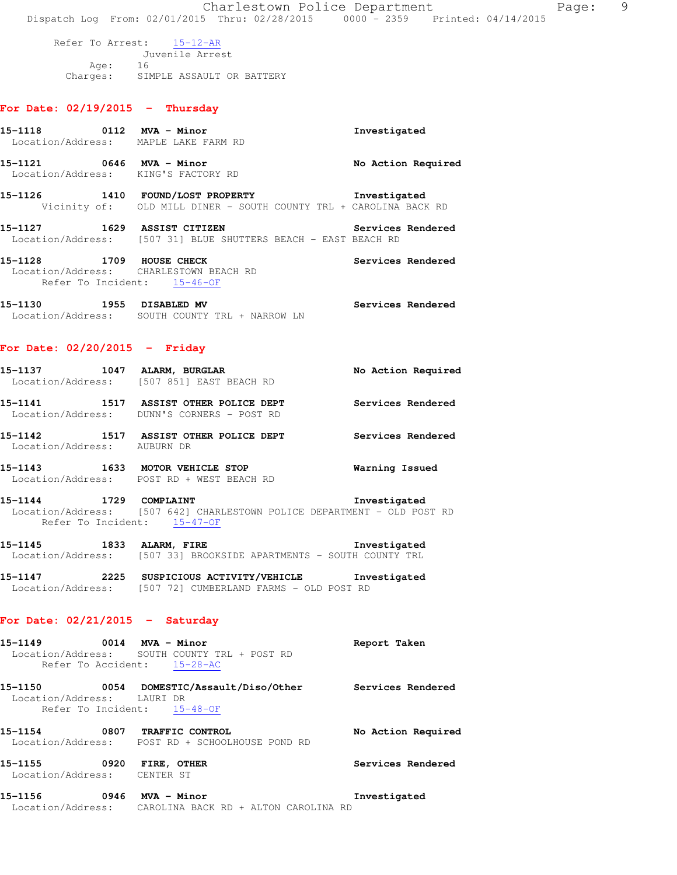Refer To Arrest: 15-12-AR

 Juvenile Arrest Age: 16 Charges: SIMPLE ASSAULT OR BATTERY

# **For Date: 02/19/2015 - Thursday**

| Location/Address: MAPLE LAKE FARM RD           |                                                                                          | Investigated       |
|------------------------------------------------|------------------------------------------------------------------------------------------|--------------------|
| 15–1121<br>Location/Address: KING'S FACTORY RD | 0646 MVA - Minor                                                                         | No Action Required |
| 15-1126<br>1410                                | FOUND/LOST PROPERTY<br>Vicinity of: OLD MILL DINER - SOUTH COUNTY TRL + CAROLINA BACK RD | Investigated       |
| 15-1127                                        | 1629 ASSIST CITIZEN<br>Location/Address: [507 31] BLUE SHUTTERS BEACH - EAST BEACH RD    | Services Rendered  |
| 15-1128<br>Refer To Incident: 15-46-OF         | 1709 HOUSE CHECK<br>Location/Address: CHARLESTOWN BEACH RD                               | Services Rendered  |
| 15-1130<br>1955<br>Location/Address:           | <b>DISABLED MV</b><br>SOUTH COUNTY TRL + NARROW LN                                       | Services Rendered  |

#### **For Date: 02/20/2015 - Friday**

| 15–1137                                | 1047 | ALARM, BURGLAR<br>Location/Address: [507 851] EAST BEACH RD            | No Action Required |
|----------------------------------------|------|------------------------------------------------------------------------|--------------------|
| 15–1141                                | 1517 | ASSIST OTHER POLICE DEPT<br>Location/Address: DUNN'S CORNERS - POST RD | Services Rendered  |
| 15–1142<br>Location/Address: AUBURN DR | 1517 | ASSIST OTHER POLICE DEPT                                               | Services Rendered  |
| 15–1143<br>Location/Address:           | 1633 | MOTOR VEHICLE STOP<br>POST RD + WEST BEACH RD                          | Warning Issued     |

**15-1144 1729 COMPLAINT Investigated**  Location/Address: [507 642] CHARLESTOWN POLICE DEPARTMENT - OLD POST RD Refer To Incident: 15-47-OF

**15-1145 1833 ALARM, FIRE Investigated**  Location/Address: [507 33] BROOKSIDE APARTMENTS - SOUTH COUNTY TRL

**15-1147 2225 SUSPICIOUS ACTIVITY/VEHICLE Investigated**  Location/Address: [507 72] CUMBERLAND FARMS - OLD POST RD

# **For Date: 02/21/2015 - Saturday**

| 15–1156                      | 0946 | MVA - Minor                                                                                       | Investigated       |
|------------------------------|------|---------------------------------------------------------------------------------------------------|--------------------|
| 15–1155<br>Location/Address: | 0920 | FIRE, OTHER<br>CENTER ST                                                                          | Services Rendered  |
| 15–1154                      | 0807 | TRAFFIC CONTROL<br>Location/Address: POST RD + SCHOOLHOUSE POND RD                                | No Action Required |
| 15-1150<br>Location/Address: | 0054 | DOMESTIC/Assault/Diso/Other<br>LAURI DR<br>Refer To Incident: 15-48-OF                            | Services Rendered  |
| 15-1149                      |      | $0014$ MVA - Minor<br>Location/Address: SOUTH COUNTY TRL + POST RD<br>Refer To Accident: 15-28-AC | Report Taken       |

Location/Address: CAROLINA BACK RD + ALTON CAROLINA RD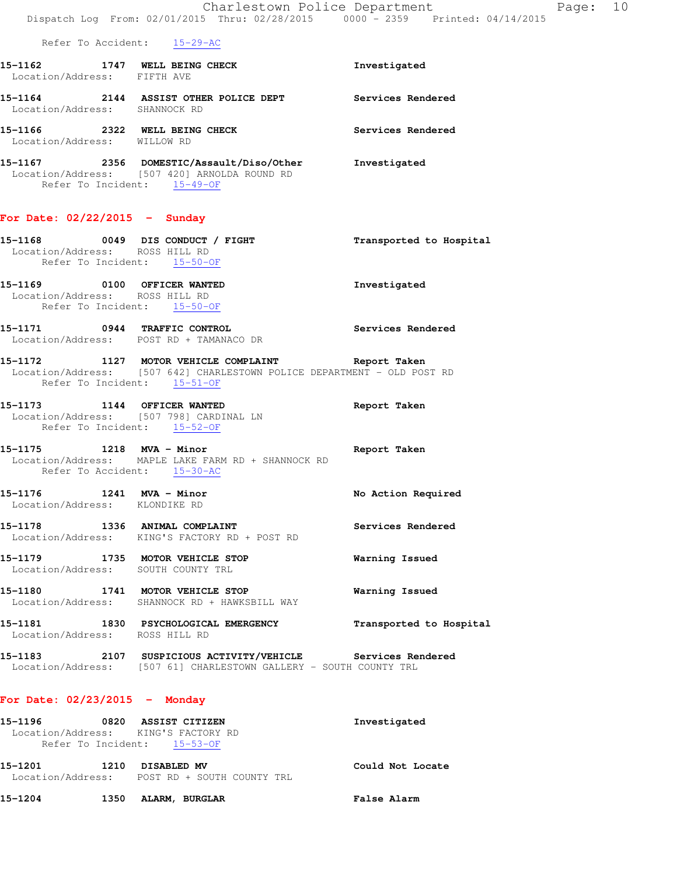|                                                                                                       | Dispatch Log From: 02/01/2015 Thru: 02/28/2015 0000 - 2359 Printed: 04/14/2015                                                     | Charlestown Police Department<br>Page: 10 |  |
|-------------------------------------------------------------------------------------------------------|------------------------------------------------------------------------------------------------------------------------------------|-------------------------------------------|--|
| Refer To Accident: 15-29-AC                                                                           |                                                                                                                                    |                                           |  |
| Location/Address: FIFTH AVE                                                                           | 15-1162 1747 WELL BEING CHECK                                                                                                      | Investigated                              |  |
| Location/Address: SHANNOCK RD                                                                         | 15-1164 2144 ASSIST OTHER POLICE DEPT Services Rendered                                                                            |                                           |  |
| Location/Address: WILLOW RD                                                                           | 15-1166 2322 WELL BEING CHECK Services Rendered                                                                                    |                                           |  |
| Refer To Incident: 15-49-OF                                                                           | 15-1167  2356 DOMESTIC/Assault/Diso/Other  Investigated<br>Location/Address: [507 420] ARNOLDA ROUND RD                            |                                           |  |
| For Date: 02/22/2015 - Sunday                                                                         |                                                                                                                                    |                                           |  |
| Location/Address: ROSS HILL RD<br>Refer To Incident: 15-50-OF                                         | 15-1168 0049 DIS CONDUCT / FIGHT                                                                                                   | Transported to Hospital                   |  |
| 15-1169 0100 OFFICER WANTED<br>Location/Address: ROSS HILL RD<br>Refer To Incident: 15-50-OF          |                                                                                                                                    | Investigated                              |  |
|                                                                                                       | 15-1171 0944 TRAFFIC CONTROL<br>Location/Address: POST RD + TAMANACO DR                                                            | Services Rendered                         |  |
| Refer To Incident: 15-51-OF                                                                           | 15-1172 1127 MOTOR VEHICLE COMPLAINT Report Taken<br>Location/Address: [507 642] CHARLESTOWN POLICE DEPARTMENT - OLD POST RD       |                                           |  |
| 15-1173 1144 OFFICER WANTED<br>Location/Address: [507 798] CARDINAL LN<br>Refer To Incident: 15-52-OF |                                                                                                                                    | Report Taken                              |  |
| Refer To Accident: 15-30-AC                                                                           | 15-1175 1218 MVA - Minor 15-1175<br>Location/Address: MAPLE LAKE FARM RD + SHANNOCK RD                                             |                                           |  |
| 1241 MVA - Minor<br>15-1176<br>Location/Address: KLONDIKE RD                                          |                                                                                                                                    | No Action Required                        |  |
| 15-1178 1336 ANIMAL COMPLAINT                                                                         | Location/Address: KING'S FACTORY RD + POST RD                                                                                      | Services Rendered                         |  |
| 15-1179 1735 MOTOR VEHICLE STOP<br>Location/Address: SOUTH COUNTY TRL                                 |                                                                                                                                    | Warning Issued                            |  |
|                                                                                                       | 15-1180 1741 MOTOR VEHICLE STOP<br>Location/Address: SHANNOCK RD + HAWKSBILL WAY                                                   | Warning Issued                            |  |
| Location/Address: ROSS HILL RD                                                                        | 15-1181 1830 PSYCHOLOGICAL EMERGENCY                                                                                               | Transported to Hospital                   |  |
|                                                                                                       | 15-1183  2107  SUSPICIOUS ACTIVITY/VEHICLE  Services Rendered<br>Location/Address: [507 61] CHARLESTOWN GALLERY - SOUTH COUNTY TRL |                                           |  |
| For Date: $02/23/2015$ - Monday                                                                       |                                                                                                                                    |                                           |  |
| 15-1196<br>Location/Address: KING'S FACTORY RD                                                        | 0820 ASSIST CITIZEN                                                                                                                | Investigated                              |  |

Refer To Incident: 15-53-OF **15-1201 1210 DISABLED MV Could Not Locate**  Location/Address: POST RD + SOUTH COUNTY TRL

**15-1204 1350 ALARM, BURGLAR False Alarm**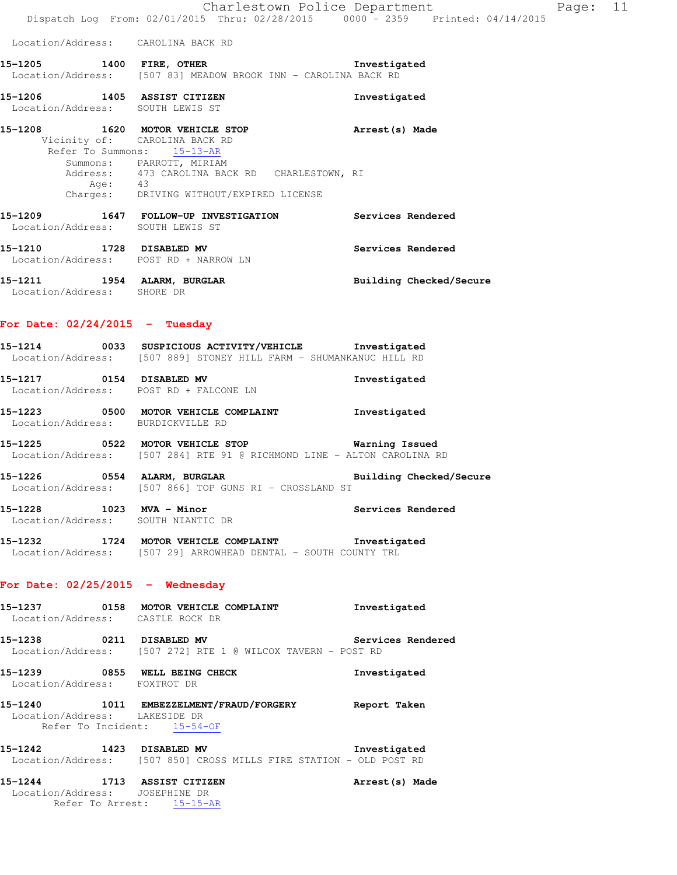Location/Address: CAROLINA BACK RD

- **15-1205 1400 FIRE, OTHER Investigated**  Location/Address: [507 83] MEADOW BROOK INN - CAROLINA BACK RD
- **15-1206 1405 ASSIST CITIZEN Investigated**  Location/Address: SOUTH LEWIS ST
- **15-1208 1620 MOTOR VEHICLE STOP Arrest(s) Made**  Vicinity of: CAROLINA BACK RD Refer To Summons: 15-13-AR Summons: PARROTT, MIRIAM Address: 473 CAROLINA BACK RD CHARLESTOWN, RI Age: 43 Charges: DRIVING WITHOUT/EXPIRED LICENSE
- **15-1209 1647 FOLLOW-UP INVESTIGATION Services Rendered**  Location/Address: SOUTH LEWIS ST **15-1210 1728 DISABLED MV Services Rendered**  Location/Address: POST RD + NARROW LN **15-1211 1954 ALARM, BURGLAR Building Checked/Secure**
- Location/Address: SHORE DR

#### **For Date: 02/24/2015 - Tuesday**

- **15-1214 0033 SUSPICIOUS ACTIVITY/VEHICLE Investigated**  Location/Address: [507 889] STONEY HILL FARM - SHUMANKANUC HILL RD **15-1217 0154 DISABLED MV Investigated**  Location/Address: POST RD + FALCONE LN
- **15-1223 0500 MOTOR VEHICLE COMPLAINT Investigated**  Location/Address: BURDICKVILLE RD
- **15-1225 0522 MOTOR VEHICLE STOP Warning Issued**  Location/Address: [507 284] RTE 91 @ RICHMOND LINE - ALTON CAROLINA RD
- **15-1226 0554 ALARM, BURGLAR Building Checked/Secure**  Location/Address: [507 866] TOP GUNS RI - CROSSLAND ST
- **15-1228 1023 MVA Minor Services Rendered**  Location/Address: SOUTH NIANTIC DR
- **15-1232 1724 MOTOR VEHICLE COMPLAINT Investigated**  Location/Address: [507 29] ARROWHEAD DENTAL - SOUTH COUNTY TRL

#### **For Date: 02/25/2015 - Wednesday**

- **15-1237 0158 MOTOR VEHICLE COMPLAINT Investigated**  Location/Address: CASTLE ROCK DR
- **15-1238 0211 DISABLED MV Services Rendered**  Location/Address: [507 272] RTE 1 @ WILCOX TAVERN - POST RD
- **15-1239 0855 WELL BEING CHECK Investigated**  Location/Address: FOXTROT DR
- **15-1240 1011 EMBEZZELMENT/FRAUD/FORGERY Report Taken**  Location/Address: LAKESIDE DR Refer To Incident: 15-54-OF
- **15-1242 1423 DISABLED MV Investigated**  Location/Address: [507 850] CROSS MILLS FIRE STATION - OLD POST RD
- **15-1244 1713 ASSIST CITIZEN Arrest(s) Made**  Location/Address: JOSEPHINE DR Refer To Arrest: 15-15-AR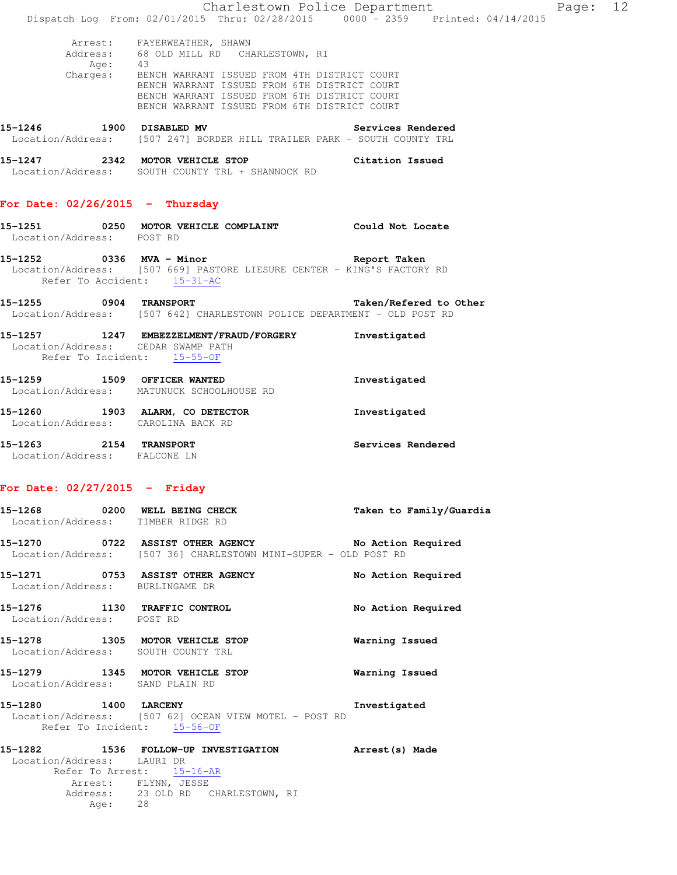|                                                                    |                                                                                                                                                                                                       | Charlestown Police Department | Page: 12 |  |
|--------------------------------------------------------------------|-------------------------------------------------------------------------------------------------------------------------------------------------------------------------------------------------------|-------------------------------|----------|--|
|                                                                    | Dispatch Log From: 02/01/2015 Thru: 02/28/2015 0000 - 2359 Printed: 04/14/2015                                                                                                                        |                               |          |  |
|                                                                    | Arrest: FAYERWEATHER, SHAWN<br>Address: 68 OLD MILL RD CHARLESTOWN, RI<br>Age: 43                                                                                                                     |                               |          |  |
|                                                                    | Charges: BENCH WARRANT ISSUED FROM 4TH DISTRICT COURT<br>BENCH WARRANT ISSUED FROM 6TH DISTRICT COURT<br>BENCH WARRANT ISSUED FROM 6TH DISTRICT COURT<br>BENCH WARRANT ISSUED FROM 6TH DISTRICT COURT |                               |          |  |
|                                                                    | 15-1246 1900 DISABLED MV<br>Location/Address: [507 247] BORDER HILL TRAILER PARK - SOUTH COUNTY TRL                                                                                                   | Services Rendered             |          |  |
|                                                                    | 15-1247 2342 MOTOR VEHICLE STOP Citation Issued<br>Location/Address: SOUTH COUNTY TRL + SHANNOCK RD                                                                                                   |                               |          |  |
| For Date: $02/26/2015$ - Thursday                                  |                                                                                                                                                                                                       |                               |          |  |
| Location/Address: POST RD                                          | 15-1251 0250 MOTOR VEHICLE COMPLAINT Could Not Locate                                                                                                                                                 |                               |          |  |
| Refer To Accident: 15-31-AC                                        | 15-1252 0336 MVA - Minor<br>Location/Address: [507 669] PASTORE LIESURE CENTER - KING'S FACTORY RD                                                                                                    | Report Taken                  |          |  |
|                                                                    | 15-1255 0904 TRANSPORT<br>Location/Address: [507 642] CHARLESTOWN POLICE DEPARTMENT - OLD POST RD                                                                                                     | Taken/Refered to Other        |          |  |
| Location/Address: CEDAR SWAMP PATH<br>Refer To Incident: 15-55-OF  | 15-1257 1247 EMBEZZELMENT/FRAUD/FORGERY                                                                                                                                                               | Investigated                  |          |  |
| 15-1259 1509 OFFICER WANTED                                        | Location/Address: MATUNUCK SCHOOLHOUSE RD                                                                                                                                                             | Investigated                  |          |  |
| Location/Address: CAROLINA BACK RD                                 | 15-1260 1903 ALARM, CO DETECTOR                                                                                                                                                                       | Investigated                  |          |  |
| 15-1263 2154 TRANSPORT<br>Location/Address: FALCONE LN             |                                                                                                                                                                                                       | Services Rendered             |          |  |
| For Date: $02/27/2015$ - Friday                                    |                                                                                                                                                                                                       |                               |          |  |
| 15-1268 0200 WELL BEING CHECK<br>Location/Address: TIMBER RIDGE RD |                                                                                                                                                                                                       | Taken to Family/Guardia       |          |  |
|                                                                    | 15-1270 0722 ASSIST OTHER AGENCY No Action Required<br>Location/Address: [507 36] CHARLESTOWN MINI-SUPER - OLD POST RD                                                                                |                               |          |  |
| Location/Address: BURLINGAME DR                                    | 15-1271 0753 ASSIST OTHER AGENCY                                                                                                                                                                      | No Action Required            |          |  |
| 15-1276 1130 TRAFFIC CONTROL<br>Location/Address: POST RD          |                                                                                                                                                                                                       | No Action Required            |          |  |
| Location/Address: SOUTH COUNTY TRL                                 | 15-1278 1305 MOTOR VEHICLE STOP                                                                                                                                                                       | Warning Issued                |          |  |
| Location/Address: SAND PLAIN RD                                    | 15-1279 1345 MOTOR VEHICLE STOP                                                                                                                                                                       | Warning Issued                |          |  |
| 1400 LARCENY<br>15-1280<br>Refer To Incident: 15-56-OF             | Location/Address: [507 62] OCEAN VIEW MOTEL - POST RD                                                                                                                                                 | Investigated                  |          |  |
| Location/Address: LAURI DR<br>Age: 28                              | 15-1282 1536 FOLLOW-UP INVESTIGATION Arrest(s) Made<br>Refer To Arrest: 15-16-AR<br>Arrest: FLYNN, JESSE<br>Address: 23 OLD RD CHARLESTOWN, RI                                                        |                               |          |  |